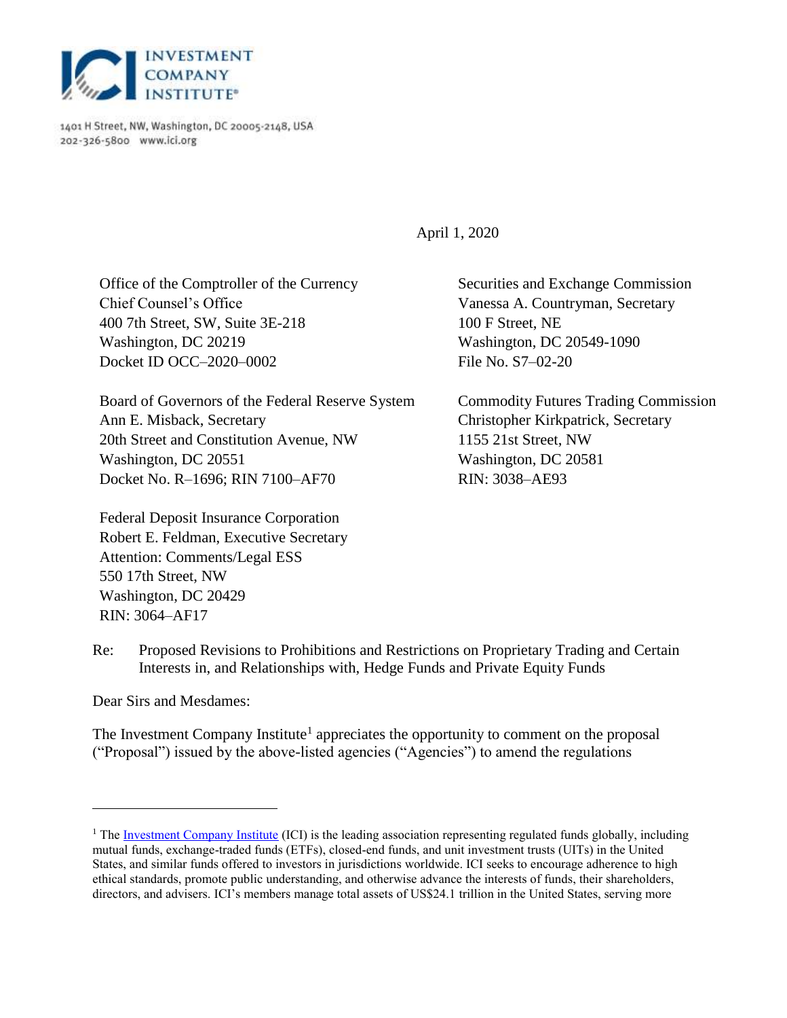

1401 H Street, NW, Washington, DC 20005-2148, USA 202-326-5800 www.ici.org

April 1, 2020

Office of the Comptroller of the Currency Chief Counsel's Office 400 7th Street, SW, Suite 3E-218 Washington, DC 20219 Docket ID OCC–2020–0002

Board of Governors of the Federal Reserve System Ann E. Misback, Secretary 20th Street and Constitution Avenue, NW Washington, DC 20551 Docket No. R–1696; RIN 7100–AF70

Federal Deposit Insurance Corporation Robert E. Feldman, Executive Secretary Attention: Comments/Legal ESS 550 17th Street, NW Washington, DC 20429 RIN: 3064–AF17

Securities and Exchange Commission Vanessa A. Countryman, Secretary 100 F Street, NE Washington, DC 20549-1090 File No. S7–02-20

Commodity Futures Trading Commission Christopher Kirkpatrick, Secretary 1155 21st Street, NW Washington, DC 20581 RIN: 3038–AE93

Re: Proposed Revisions to Prohibitions and Restrictions on Proprietary Trading and Certain Interests in, and Relationships with, Hedge Funds and Private Equity Funds

Dear Sirs and Mesdames:

 $\overline{a}$ 

The Investment Company Institute<sup>1</sup> appreciates the opportunity to comment on the proposal ("Proposal") issued by the above-listed agencies ("Agencies") to amend the regulations

<sup>&</sup>lt;sup>1</sup> The <u>Investment Company Institute</u> (ICI) is the leading association representing regulated funds globally, including mutual funds, exchange-traded funds (ETFs), closed-end funds, and unit investment trusts (UITs) in the United States, and similar funds offered to investors in jurisdictions worldwide. ICI seeks to encourage adherence to high ethical standards, promote public understanding, and otherwise advance the interests of funds, their shareholders, directors, and advisers. ICI's members manage total assets of US\$24.1 trillion in the United States, serving more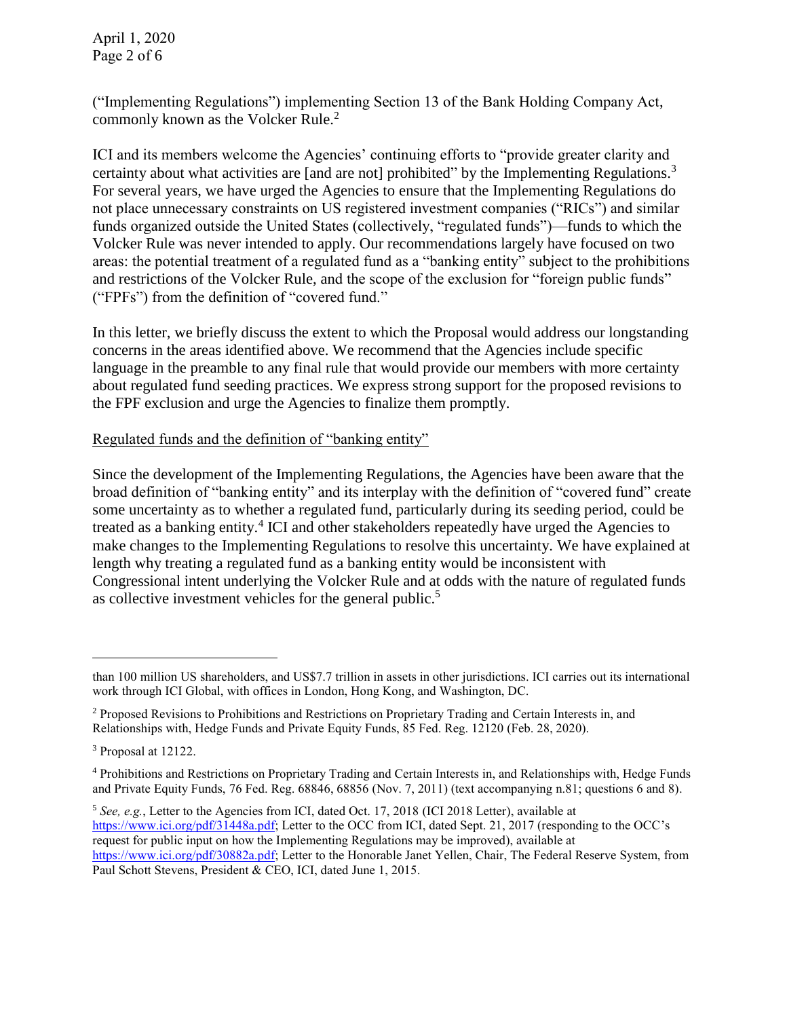April 1, 2020 Page 2 of 6

("Implementing Regulations") implementing Section 13 of the Bank Holding Company Act, commonly known as the Volcker Rule.<sup>2</sup>

ICI and its members welcome the Agencies' continuing efforts to "provide greater clarity and certainty about what activities are [and are not] prohibited" by the Implementing Regulations.<sup>3</sup> For several years, we have urged the Agencies to ensure that the Implementing Regulations do not place unnecessary constraints on US registered investment companies ("RICs") and similar funds organized outside the United States (collectively, "regulated funds")—funds to which the Volcker Rule was never intended to apply. Our recommendations largely have focused on two areas: the potential treatment of a regulated fund as a "banking entity" subject to the prohibitions and restrictions of the Volcker Rule, and the scope of the exclusion for "foreign public funds" ("FPFs") from the definition of "covered fund."

In this letter, we briefly discuss the extent to which the Proposal would address our longstanding concerns in the areas identified above. We recommend that the Agencies include specific language in the preamble to any final rule that would provide our members with more certainty about regulated fund seeding practices. We express strong support for the proposed revisions to the FPF exclusion and urge the Agencies to finalize them promptly.

## Regulated funds and the definition of "banking entity"

Since the development of the Implementing Regulations, the Agencies have been aware that the broad definition of "banking entity" and its interplay with the definition of "covered fund" create some uncertainty as to whether a regulated fund, particularly during its seeding period, could be treated as a banking entity.<sup>4</sup> ICI and other stakeholders repeatedly have urged the Agencies to make changes to the Implementing Regulations to resolve this uncertainty. We have explained at length why treating a regulated fund as a banking entity would be inconsistent with Congressional intent underlying the Volcker Rule and at odds with the nature of regulated funds as collective investment vehicles for the general public.<sup>5</sup>

than 100 million US shareholders, and US\$7.7 trillion in assets in other jurisdictions. ICI carries out its international work through ICI Global, with offices in London, Hong Kong, and Washington, DC.

<sup>&</sup>lt;sup>2</sup> Proposed Revisions to Prohibitions and Restrictions on Proprietary Trading and Certain Interests in, and Relationships with, Hedge Funds and Private Equity Funds, 85 Fed. Reg. 12120 (Feb. 28, 2020).

<sup>3</sup> Proposal at 12122.

<sup>4</sup> Prohibitions and Restrictions on Proprietary Trading and Certain Interests in, and Relationships with, Hedge Funds and Private Equity Funds, 76 Fed. Reg. 68846, 68856 (Nov. 7, 2011) (text accompanying n.81; questions 6 and 8).

<sup>&</sup>lt;sup>5</sup> See, e.g., Letter to the Agencies from ICI, dated Oct. 17, 2018 (ICI 2018 Letter), available at [https://www.ici.org/pdf/31448a.pdf;](https://www.ici.org/pdf/31448a.pdf) Letter to the OCC from ICI, dated Sept. 21, 2017 (responding to the OCC's request for public input on how the Implementing Regulations may be improved), available at [https://www.ici.org/pdf/30882a.pdf;](https://www.ici.org/pdf/30882a.pdf) Letter to the Honorable Janet Yellen, Chair, The Federal Reserve System, from Paul Schott Stevens, President & CEO, ICI, dated June 1, 2015.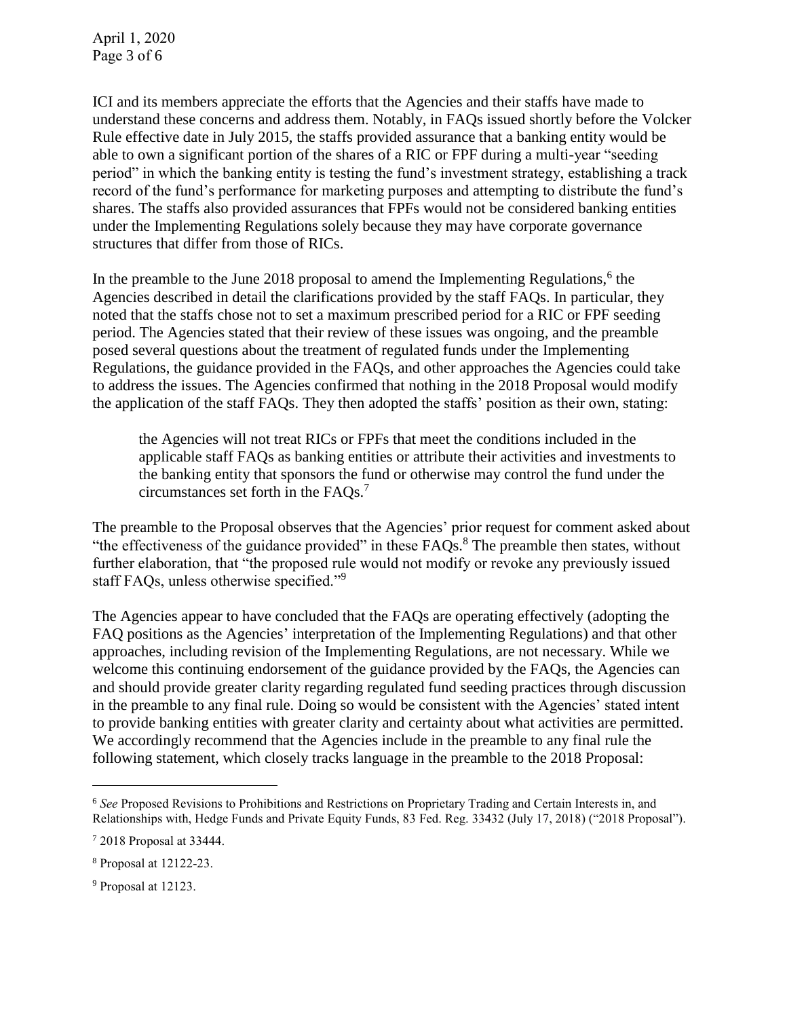ICI and its members appreciate the efforts that the Agencies and their staffs have made to understand these concerns and address them. Notably, in FAQs issued shortly before the Volcker Rule effective date in July 2015, the staffs provided assurance that a banking entity would be able to own a significant portion of the shares of a RIC or FPF during a multi-year "seeding period" in which the banking entity is testing the fund's investment strategy, establishing a track record of the fund's performance for marketing purposes and attempting to distribute the fund's shares. The staffs also provided assurances that FPFs would not be considered banking entities under the Implementing Regulations solely because they may have corporate governance structures that differ from those of RICs.

In the preamble to the June 2018 proposal to amend the Implementing Regulations,  $6$  the Agencies described in detail the clarifications provided by the staff FAQs. In particular, they noted that the staffs chose not to set a maximum prescribed period for a RIC or FPF seeding period. The Agencies stated that their review of these issues was ongoing, and the preamble posed several questions about the treatment of regulated funds under the Implementing Regulations, the guidance provided in the FAQs, and other approaches the Agencies could take to address the issues. The Agencies confirmed that nothing in the 2018 Proposal would modify the application of the staff FAQs. They then adopted the staffs' position as their own, stating:

the Agencies will not treat RICs or FPFs that meet the conditions included in the applicable staff FAQs as banking entities or attribute their activities and investments to the banking entity that sponsors the fund or otherwise may control the fund under the circumstances set forth in the  $\text{FAQs.}^7$ 

The preamble to the Proposal observes that the Agencies' prior request for comment asked about "the effectiveness of the guidance provided" in these FAQs.<sup>8</sup> The preamble then states, without further elaboration, that "the proposed rule would not modify or revoke any previously issued staff FAQs, unless otherwise specified."<sup>9</sup>

The Agencies appear to have concluded that the FAQs are operating effectively (adopting the FAQ positions as the Agencies' interpretation of the Implementing Regulations) and that other approaches, including revision of the Implementing Regulations, are not necessary. While we welcome this continuing endorsement of the guidance provided by the FAQs, the Agencies can and should provide greater clarity regarding regulated fund seeding practices through discussion in the preamble to any final rule. Doing so would be consistent with the Agencies' stated intent to provide banking entities with greater clarity and certainty about what activities are permitted. We accordingly recommend that the Agencies include in the preamble to any final rule the following statement, which closely tracks language in the preamble to the 2018 Proposal:

<sup>6</sup> *See* Proposed Revisions to Prohibitions and Restrictions on Proprietary Trading and Certain Interests in, and Relationships with, Hedge Funds and Private Equity Funds, 83 Fed. Reg. 33432 (July 17, 2018) ("2018 Proposal").

<sup>7</sup> 2018 Proposal at 33444.

<sup>8</sup> Proposal at 12122-23.

<sup>9</sup> Proposal at 12123.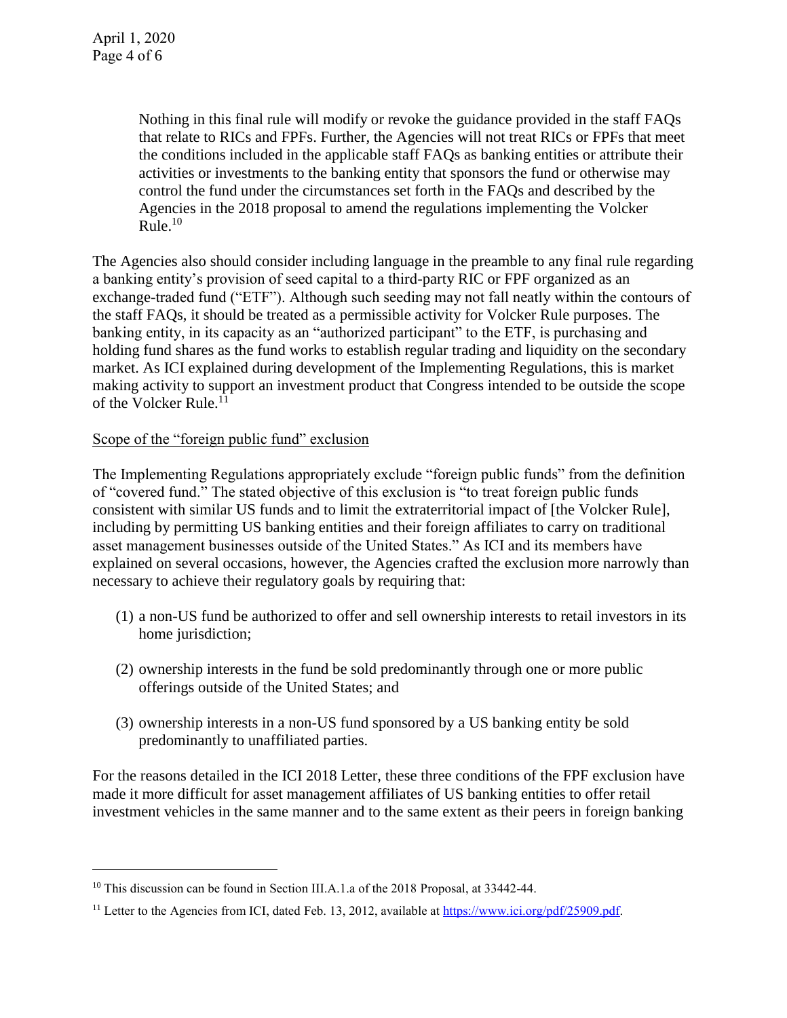$\overline{a}$ 

Nothing in this final rule will modify or revoke the guidance provided in the staff FAQs that relate to RICs and FPFs. Further, the Agencies will not treat RICs or FPFs that meet the conditions included in the applicable staff FAQs as banking entities or attribute their activities or investments to the banking entity that sponsors the fund or otherwise may control the fund under the circumstances set forth in the FAQs and described by the Agencies in the 2018 proposal to amend the regulations implementing the Volcker Rule. 10

The Agencies also should consider including language in the preamble to any final rule regarding a banking entity's provision of seed capital to a third-party RIC or FPF organized as an exchange-traded fund ("ETF"). Although such seeding may not fall neatly within the contours of the staff FAQs, it should be treated as a permissible activity for Volcker Rule purposes. The banking entity, in its capacity as an "authorized participant" to the ETF, is purchasing and holding fund shares as the fund works to establish regular trading and liquidity on the secondary market. As ICI explained during development of the Implementing Regulations, this is market making activity to support an investment product that Congress intended to be outside the scope of the Volcker Rule.<sup>11</sup>

## Scope of the "foreign public fund" exclusion

The Implementing Regulations appropriately exclude "foreign public funds" from the definition of "covered fund." The stated objective of this exclusion is "to treat foreign public funds consistent with similar US funds and to limit the extraterritorial impact of [the Volcker Rule], including by permitting US banking entities and their foreign affiliates to carry on traditional asset management businesses outside of the United States." As ICI and its members have explained on several occasions, however, the Agencies crafted the exclusion more narrowly than necessary to achieve their regulatory goals by requiring that:

- (1) a non-US fund be authorized to offer and sell ownership interests to retail investors in its home jurisdiction;
- (2) ownership interests in the fund be sold predominantly through one or more public offerings outside of the United States; and
- (3) ownership interests in a non-US fund sponsored by a US banking entity be sold predominantly to unaffiliated parties.

For the reasons detailed in the ICI 2018 Letter, these three conditions of the FPF exclusion have made it more difficult for asset management affiliates of US banking entities to offer retail investment vehicles in the same manner and to the same extent as their peers in foreign banking

<sup>&</sup>lt;sup>10</sup> This discussion can be found in Section III.A.1.a of the 2018 Proposal, at 33442-44.

<sup>&</sup>lt;sup>11</sup> Letter to the Agencies from ICI, dated Feb. 13, 2012, available at [https://www.ici.org/pdf/25909.pdf.](https://www.ici.org/pdf/25909.pdf)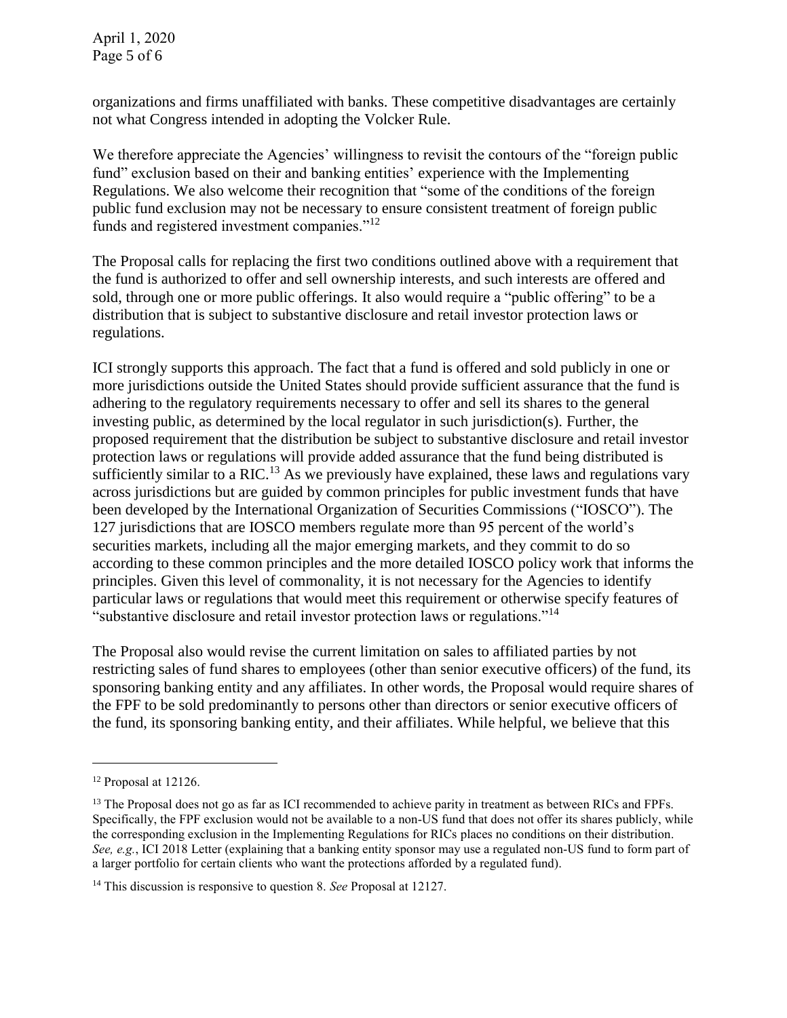organizations and firms unaffiliated with banks. These competitive disadvantages are certainly not what Congress intended in adopting the Volcker Rule.

We therefore appreciate the Agencies' willingness to revisit the contours of the "foreign public" fund" exclusion based on their and banking entities' experience with the Implementing Regulations. We also welcome their recognition that "some of the conditions of the foreign public fund exclusion may not be necessary to ensure consistent treatment of foreign public funds and registered investment companies."<sup>12</sup>

The Proposal calls for replacing the first two conditions outlined above with a requirement that the fund is authorized to offer and sell ownership interests, and such interests are offered and sold, through one or more public offerings. It also would require a "public offering" to be a distribution that is subject to substantive disclosure and retail investor protection laws or regulations.

ICI strongly supports this approach. The fact that a fund is offered and sold publicly in one or more jurisdictions outside the United States should provide sufficient assurance that the fund is adhering to the regulatory requirements necessary to offer and sell its shares to the general investing public, as determined by the local regulator in such jurisdiction(s). Further, the proposed requirement that the distribution be subject to substantive disclosure and retail investor protection laws or regulations will provide added assurance that the fund being distributed is sufficiently similar to a RIC.<sup>13</sup> As we previously have explained, these laws and regulations vary across jurisdictions but are guided by common principles for public investment funds that have been developed by the International Organization of Securities Commissions ("IOSCO"). The 127 jurisdictions that are IOSCO members regulate more than 95 percent of the world's securities markets, including all the major emerging markets, and they commit to do so according to these common principles and the more detailed IOSCO policy work that informs the principles. Given this level of commonality, it is not necessary for the Agencies to identify particular laws or regulations that would meet this requirement or otherwise specify features of "substantive disclosure and retail investor protection laws or regulations."<sup>14</sup>

The Proposal also would revise the current limitation on sales to affiliated parties by not restricting sales of fund shares to employees (other than senior executive officers) of the fund, its sponsoring banking entity and any affiliates. In other words, the Proposal would require shares of the FPF to be sold predominantly to persons other than directors or senior executive officers of the fund, its sponsoring banking entity, and their affiliates. While helpful, we believe that this

<sup>12</sup> Proposal at 12126.

<sup>&</sup>lt;sup>13</sup> The Proposal does not go as far as ICI recommended to achieve parity in treatment as between RICs and FPFs. Specifically, the FPF exclusion would not be available to a non-US fund that does not offer its shares publicly, while the corresponding exclusion in the Implementing Regulations for RICs places no conditions on their distribution. *See, e.g.*, ICI 2018 Letter (explaining that a banking entity sponsor may use a regulated non-US fund to form part of a larger portfolio for certain clients who want the protections afforded by a regulated fund).

<sup>14</sup> This discussion is responsive to question 8. *See* Proposal at 12127.